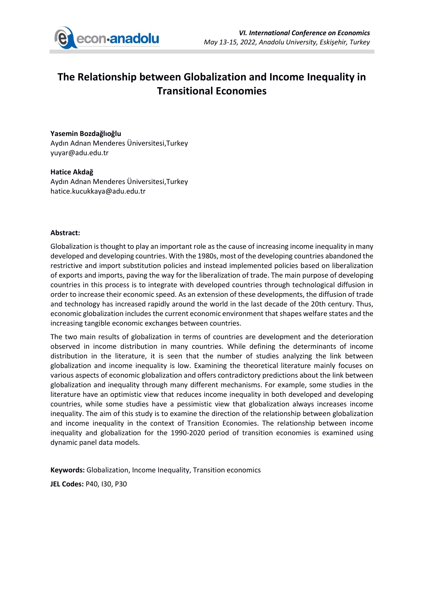

# **The Relationship between Globalization and Income Inequality in Transitional Economies**

### **Yasemin Bozdağlıoğlu**

Aydın Adnan Menderes Üniversitesi,Turkey yuyar@adu.edu.tr

#### **Hatice Akdağ**

Aydın Adnan Menderes Üniversitesi,Turkey hatice.kucukkaya@adu.edu.tr

### **Abstract:**

Globalization is thought to play an important role as the cause of increasing income inequality in many developed and developing countries. With the 1980s, most of the developing countries abandoned the restrictive and import substitution policies and instead implemented policies based on liberalization of exports and imports, paving the way for the liberalization of trade. The main purpose of developing countries in this process is to integrate with developed countries through technological diffusion in order to increase their economic speed. As an extension of these developments, the diffusion of trade and technology has increased rapidly around the world in the last decade of the 20th century. Thus, economic globalization includes the current economic environment that shapes welfare states and the increasing tangible economic exchanges between countries.

The two main results of globalization in terms of countries are development and the deterioration observed in income distribution in many countries. While defining the determinants of income distribution in the literature, it is seen that the number of studies analyzing the link between globalization and income inequality is low. Examining the theoretical literature mainly focuses on various aspects of economic globalization and offers contradictory predictions about the link between globalization and inequality through many different mechanisms. For example, some studies in the literature have an optimistic view that reduces income inequality in both developed and developing countries, while some studies have a pessimistic view that globalization always increases income inequality. The aim of this study is to examine the direction of the relationship between globalization and income inequality in the context of Transition Economies. The relationship between income inequality and globalization for the 1990-2020 period of transition economies is examined using dynamic panel data models.

**Keywords:** Globalization, Income Inequality, Transition economics **JEL Codes:** P40, I30, P30